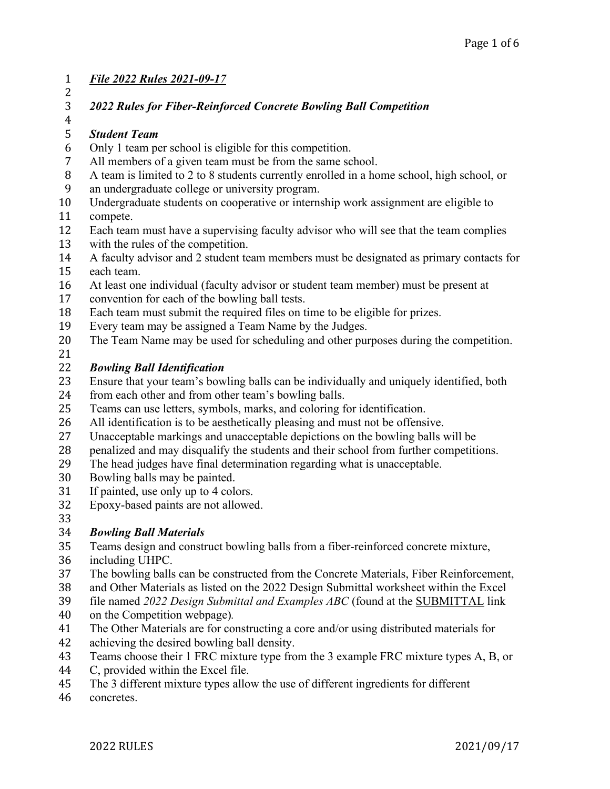### 1 *File 2022 Rules 2021-09-17*

 $\frac{2}{3}$ 

### 3 *2022 Rules for Fiber-Reinforced Concrete Bowling Ball Competition*

### $\frac{4}{5}$

- 5 *Student Team*
- 6 Only 1 team per school is eligible for this competition.<br>7 All members of a given team must be from the same sc
- 7 All members of a given team must be from the same school.<br>8 A team is limited to 2 to 8 students currently enrolled in a ho 8 A team is limited to 2 to 8 students currently enrolled in a home school, high school, or<br>9 an undergraduate college or university program.
- 9 an undergraduate college or university program.<br>10 Undergraduate students on cooperative or interns
- 10 Undergraduate students on cooperative or internship work assignment are eligible to<br>11 compete.
- 11 compete.<br>12 Each team
- 12 Each team must have a supervising faculty advisor who will see that the team complies<br>13 with the rules of the competition.
- 13 with the rules of the competition.<br>14 A faculty advisor and 2 student te
- 14 A faculty advisor and 2 student team members must be designated as primary contacts for<br>15 each team.
- 15 each team.<br>16 At least one 16 At least one individual (faculty advisor or student team member) must be present at convention for each of the bowling ball tests.
- 17 convention for each of the bowling ball tests.<br>18 Each team must submit the required files on t
- 18 Each team must submit the required files on time to be eligible for prizes.<br>19 Every team may be assigned a Team Name by the Judges.
- 19 Every team may be assigned a Team Name by the Judges.<br>20 The Team Name may be used for scheduling and other pur
- The Team Name may be used for scheduling and other purposes during the competition.
- $\frac{21}{22}$

- 22 *Bowling Ball Identification* 23 Ensure that your team's bowling balls can be individually and uniquely identified, both 24 from each other and from other team's bowling balls.
- 24 from each other and from other team's bowling balls.<br>25 Teams can use letters, symbols, marks, and coloring f
- 
- 25 Teams can use letters, symbols, marks, and coloring for identification.<br>26 All identification is to be aesthetically pleasing and must not be offensi-26 All identification is to be aesthetically pleasing and must not be offensive.<br>27 Unacceptable markings and unacceptable depictions on the bowling balls v
- 27 Unacceptable markings and unacceptable depictions on the bowling balls will be penalized and may disqualify the students and their school from further competition
- 28 penalized and may disqualify the students and their school from further competitions.<br>29 The head judges have final determination regarding what is unacceptable.
- 29 The head judges have final determination regarding what is unacceptable.<br>20 Bowling balls may be painted.
- 30 Bowling balls may be painted.<br>31 If painted, use only up to 4 cold
- 31 If painted, use only up to 4 colors.<br>32 Epoxy-based paints are not allowed
- Epoxy-based paints are not allowed.
- 33<br>34

# 34 *Bowling Ball Materials*

- 35 Teams design and construct bowling balls from a fiber-reinforced concrete mixture,<br>36 including UHPC.
- 36 including UHPC.<br>37 The bowling balls
- 37 The bowling balls can be constructed from the Concrete Materials, Fiber Reinforcement,<br>38 and Other Materials as listed on the 2022 Design Submittal worksheet within the Excel
- 38 and Other Materials as listed on the 2022 Design Submittal worksheet within the Excel<br>39 file named 2022 Design Submittal and Examples ABC (found at the SUBMITTAL link
- 39 file named *2022 Design Submittal and Examples ABC* (found at the **SUBMITTAL** link 40 on the Competition webpage).
- 40 on the Competition webpage)*.*
- 41 The Other Materials are for constructing a core and/or using distributed materials for<br>42 achieving the desired bowling ball density.
- 42 achieving the desired bowling ball density.<br>43 Teams choose their 1 FRC mixture type from
- 43 Teams choose their 1 FRC mixture type from the 3 example FRC mixture types A, B, or C, provided within the Excel file.
- 44 C, provided within the Excel file.<br>45 The 3 different mixture types allo
- 45 The 3 different mixture types allow the use of different ingredients for different concretes.
- concretes.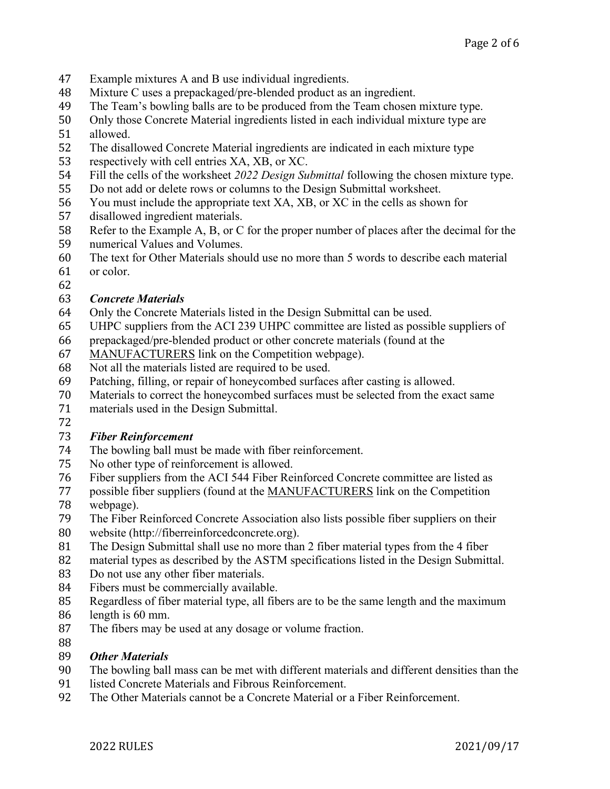- 47 Example mixtures A and B use individual ingredients.<br>48 Mixture C uses a prepackaged/pre-blended product as
- 48 Mixture C uses a prepackaged/pre-blended product as an ingredient.<br>49 The Team's bowling balls are to be produced from the Team chosen
- 49 The Team's bowling balls are to be produced from the Team chosen mixture type.<br>50 Only those Concrete Material ingredients listed in each individual mixture type are
- 50 Only those Concrete Material ingredients listed in each individual mixture type are<br>51 allowed
- 51 allowed.<br>52 The disal
- 52 The disallowed Concrete Material ingredients are indicated in each mixture type<br>53 respectively with cell entries XA, XB, or XC.
- 53 respectively with cell entries XA, XB, or XC.<br>54 Fill the cells of the worksheet 2022 Design Su
- 54 Fill the cells of the worksheet 2022 Design Submittal following the chosen mixture type.<br>55 Do not add or delete rows or columns to the Design Submittal worksheet.
- 55 Do not add or delete rows or columns to the Design Submittal worksheet.<br>56 You must include the appropriate text XA, XB, or XC in the cells as show
- 56 You must include the appropriate text XA, XB, or XC in the cells as shown for disallowed ingredient materials.
- 57 disallowed ingredient materials.<br>58 Refer to the Example A, B, or C
- 58 Refer to the Example A, B, or C for the proper number of places after the decimal for the numerical Values and Volumes.
- 59 numerical Values and Volumes.<br>60 The text for Other Materials shou 60 The text for Other Materials should use no more than 5 words to describe each material or color.
- 61 or color.
- 62<br>63

# 63 *Concrete Materials*

- 64 Only the Concrete Materials listed in the Design Submittal can be used.<br>65 UHPC suppliers from the ACI 239 UHPC committee are listed as possible.
- 65 UHPC suppliers from the ACI 239 UHPC committee are listed as possible suppliers of prepackaged/pre-blended product or other concrete materials (found at the
- 66 prepackaged/pre-blended product or other concrete materials (found at the 67 MANUFACTURERS link on the Competition webpage).
- 67 MANUFACTURERS link on the Competition webpage).<br>68 Not all the materials listed are required to be used.
- 68 Not all the materials listed are required to be used.<br>69 Patching, filling, or repair of honeycombed surface
- 69 Patching, filling, or repair of honeycombed surfaces after casting is allowed.<br>70 Materials to correct the honeycombed surfaces must be selected from the exa
- 70 Materials to correct the honeycombed surfaces must be selected from the exact same<br>71 materials used in the Design Submittal.
- materials used in the Design Submittal.
- 72

# 73 *Fiber Reinforcement*

- 74 The bowling ball must be made with fiber reinforcement.<br>75 No other type of reinforcement is allowed.
- 
- 75 No other type of reinforcement is allowed.<br>76 Fiber suppliers from the ACI 544 Fiber Rei 76 Fiber suppliers from the ACI 544 Fiber Reinforced Concrete committee are listed as<br>77 possible fiber suppliers (found at the MANUFACTURERS link on the Competition
- 77 possible fiber suppliers (found at the MANUFACTURERS link on the Competition webpage).
- 78 webpage).<br>79 The Fiber l
- 79 The Fiber Reinforced Concrete Association also lists possible fiber suppliers on their<br>80 website (http://fiberreinforcedconcrete.org).
- 80 website (http://fiberreinforcedconcrete.org).<br>81 The Design Submittal shall use no more than
- 81 The Design Submittal shall use no more than 2 fiber material types from the 4 fiber<br>82 material types as described by the ASTM specifications listed in the Design Submit
- 82 material types as described by the ASTM specifications listed in the Design Submittal.<br>83 Do not use any other fiber materials.
- 83 Do not use any other fiber materials.<br>84 Fibers must be commercially availab
- 84 Fibers must be commercially available.<br>85 Regardless of fiber material type, all fib
- 85 Regardless of fiber material type, all fibers are to be the same length and the maximum 86 length is 60 mm.
- 86 length is 60 mm.<br>87 The fibers may be The fibers may be used at any dosage or volume fraction.
- 88<br>89

# 89 *Other Materials*

- 90 The bowling ball mass can be met with different materials and different densities than the listed Concrete Materials and Fibrous Reinforcement.
- 91 listed Concrete Materials and Fibrous Reinforcement.<br>92 The Other Materials cannot be a Concrete Material or
- The Other Materials cannot be a Concrete Material or a Fiber Reinforcement.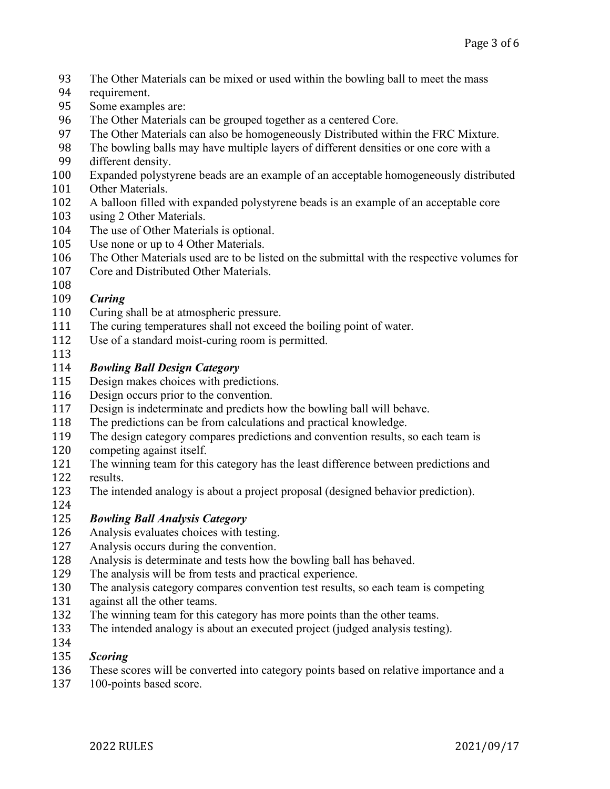- 93 The Other Materials can be mixed or used within the bowling ball to meet the mass requirement.
- 94 requirement.<br>95 Some exampl
- 95 Some examples are:<br>96 The Other Materials
- 96 The Other Materials can be grouped together as a centered Core.<br>97 The Other Materials can also be homogeneously Distributed with
- 97 The Other Materials can also be homogeneously Distributed within the FRC Mixture.<br>98 The bowling balls may have multiple layers of different densities or one core with a
- 98 The bowling balls may have multiple layers of different densities or one core with a different density.
- 99 different density.<br>100 Expanded polysty
- 100 Expanded polystyrene beads are an example of an acceptable homogeneously distributed
- 101 Other Materials.<br>102 A balloon filled
- 102 A balloon filled with expanded polystyrene beads is an example of an acceptable core<br>103 using 2 Other Materials.
- 103 using 2 Other Materials.<br>104 The use of Other Materia
- 104 The use of Other Materials is optional.<br>105 Use none or up to 4 Other Materials.
- 105 Use none or up to 4 Other Materials.<br>106 The Other Materials used are to be lis
- 106 The Other Materials used are to be listed on the submittal with the respective volumes for<br>107 Core and Distributed Other Materials.
- Core and Distributed Other Materials.
- 108<br>109

- 109 *Curing* 110 Curing shall be at atmospheric pressure.<br>111 The curing temperatures shall not exceed
- 111 The curing temperatures shall not exceed the boiling point of water.<br>112 Use of a standard moist-curing room is permitted.
- Use of a standard moist-curing room is permitted.
- 113<br>114

## 114 *Bowling Ball Design Category*

- 115 Design makes choices with predictions.<br>116 Design occurs prior to the convention.
- 116 Design occurs prior to the convention.<br>117 Design is indeterminate and predicts he
- 117 Design is indeterminate and predicts how the bowling ball will behave.<br>118 The predictions can be from calculations and practical knowledge.
- 118 The predictions can be from calculations and practical knowledge.<br>119 The design category compares predictions and convention results.
- 119 The design category compares predictions and convention results, so each team is competing against itself.
- 120 competing against itself.<br>121 The winning team for thi
- 121 The winning team for this category has the least difference between predictions and results.
- 122 results.<br>123 The inte The intended analogy is about a project proposal (designed behavior prediction).
- 124<br>125

# 125 *Bowling Ball Analysis Category*

- 126 Analysis evaluates choices with testing.<br>127 Analysis occurs during the convention.
- 127 Analysis occurs during the convention.<br>128 Analysis is determinate and tests how the
- 128 Analysis is determinate and tests how the bowling ball has behaved.<br>129 The analysis will be from tests and practical experience.
- 129 The analysis will be from tests and practical experience.<br>130 The analysis category compares convention test results,
- 130 The analysis category compares convention test results, so each team is competing against all the other teams.
- 131 against all the other teams.<br>132 The winning team for this of
- 132 The winning team for this category has more points than the other teams.<br>133 The intended analogy is about an executed project (judged analysis testing
- The intended analogy is about an executed project (judged analysis testing).
- 134<br>135

## 135 *Scoring*

- 136 These scores will be converted into category points based on relative importance and a<br>137 100-points based score.
- 100-points based score.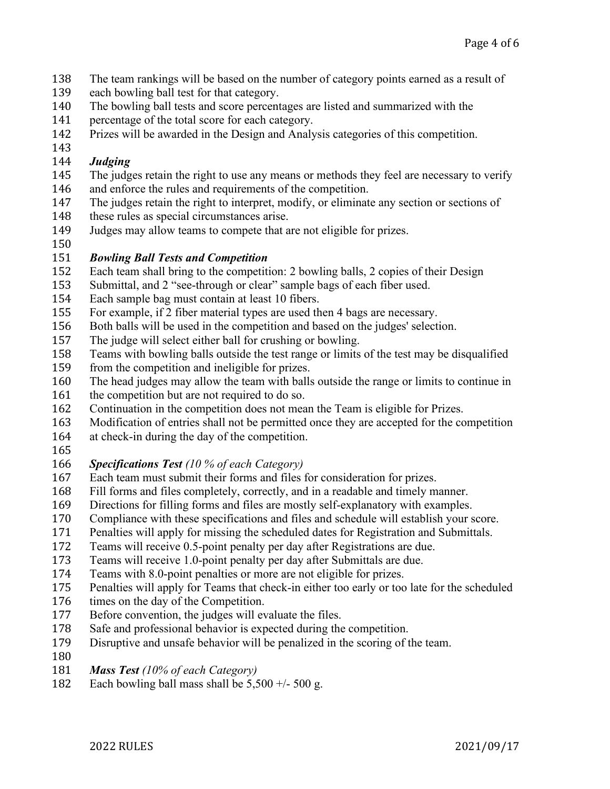- 138 The team rankings will be based on the number of category points earned as a result of each bowling ball test for that category.
- 139 each bowling ball test for that category.<br>140 The bowling ball tests and score percent
- 140 The bowling ball tests and score percentages are listed and summarized with the percentage of the total score for each category.
- 141 percentage of the total score for each category.<br>142 Prizes will be awarded in the Design and Analy
- Prizes will be awarded in the Design and Analysis categories of this competition.
- 143<br>144

## 144 *Judging*

- 145 The judges retain the right to use any means or methods they feel are necessary to verify 146 and enforce the rules and requirements of the competition. 146 and enforce the rules and requirements of the competition.<br>147 The judges retain the right to interpret, modify, or eliminate
- 147 The judges retain the right to interpret, modify, or eliminate any section or sections of these rules as special circumstances arise.
- 148 these rules as special circumstances arise.<br>149 Judges may allow teams to compete that a
- Judges may allow teams to compete that are not eligible for prizes.

### 150<br>151 151 *Bowling Ball Tests and Competition*

- 152 Each team shall bring to the competition: 2 bowling balls, 2 copies of their Design<br>153 Submittal, and 2 "see-through or clear" sample bags of each fiber used.
- 153 Submittal, and 2 "see-through or clear" sample bags of each fiber used.<br>154 Each sample bag must contain at least 10 fibers.
- 154 Each sample bag must contain at least 10 fibers.<br>155 For example, if 2 fiber material types are used the
- 155 For example, if 2 fiber material types are used then 4 bags are necessary.<br>156 Both balls will be used in the competition and based on the judges' selection
- 156 Both balls will be used in the competition and based on the judges' selection.<br>157 The judge will select either ball for crushing or bowling.
- 157 The judge will select either ball for crushing or bowling.<br>158 Teams with bowling balls outside the test range or limits
- 158 Teams with bowling balls outside the test range or limits of the test may be disqualified<br>159 from the competition and ineligible for prizes.
- 159 from the competition and ineligible for prizes.<br>160 The head judges may allow the team with balls
- 160 The head judges may allow the team with balls outside the range or limits to continue in the competition but are not required to do so.
- 161 the competition but are not required to do so.<br>162 Continuation in the competition does not mea
- 162 Continuation in the competition does not mean the Team is eligible for Prizes.<br>163 Modification of entries shall not be permitted once they are accepted for the co
- 163 Modification of entries shall not be permitted once they are accepted for the competition<br>164 at check-in during the day of the competition.
- at check-in during the day of the competition.
- 165<br>166

# 166 *Specifications Test (10 % of each Category)*

- 167 Each team must submit their forms and files for consideration for prizes.<br>168 Fill forms and files completely, correctly, and in a readable and timely m
- 168 Fill forms and files completely, correctly, and in a readable and timely manner.<br>169 Directions for filling forms and files are mostly self-explanatory with examples.
- 169 Directions for filling forms and files are mostly self-explanatory with examples.<br>170 Compliance with these specifications and files and schedule will establish your s
- 170 Compliance with these specifications and files and schedule will establish your score.<br>171 Penalties will apply for missing the scheduled dates for Registration and Submittals.
- 171 Penalties will apply for missing the scheduled dates for Registration and Submittals.<br>172 Teams will receive 0.5-point penalty per day after Registrations are due.
- 172 Teams will receive 0.5-point penalty per day after Registrations are due.<br>173 Teams will receive 1.0-point penalty per day after Submittals are due.
- 173 Teams will receive 1.0-point penalty per day after Submittals are due.<br>174 Teams with 8.0-point penalties or more are not eligible for prizes.
- 174 Teams with 8.0-point penalties or more are not eligible for prizes.<br>175 Penalties will apply for Teams that check-in either too early or too
- 175 Penalties will apply for Teams that check-in either too early or too late for the scheduled times on the day of the Competition.
- 176 times on the day of the Competition.<br>177 Before convention, the judges will ev
- 177 Before convention, the judges will evaluate the files.<br>178 Safe and professional behavior is expected during the
- 178 Safe and professional behavior is expected during the competition.<br>179 Disruptive and unsafe behavior will be penalized in the scoring of t
- Disruptive and unsafe behavior will be penalized in the scoring of the team.
- $\frac{180}{181}$
- 181 *Mass Test (10% of each Category)*
- Each bowling ball mass shall be  $5,500 +/- 500$  g.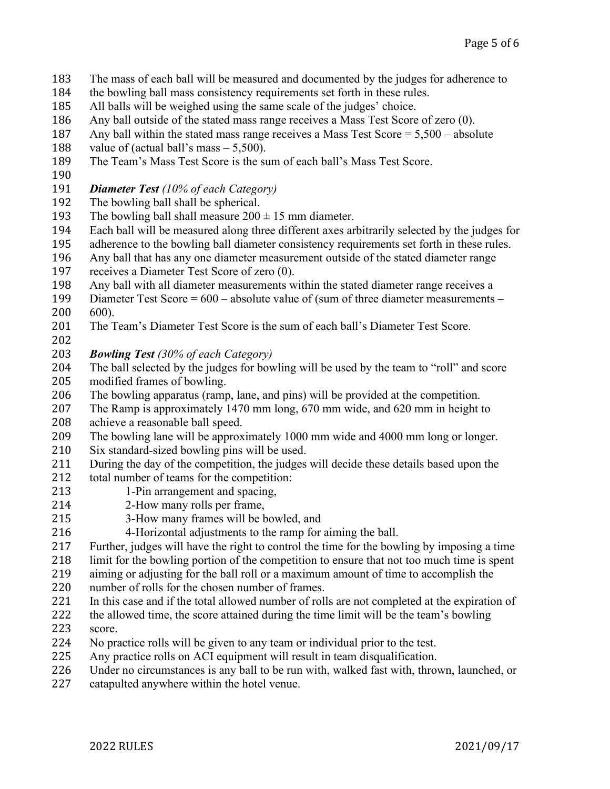- 183 The mass of each ball will be measured and documented by the judges for adherence to the bowling ball mass consistency requirements set forth in these rules.
- 184 the bowling ball mass consistency requirements set forth in these rules.<br>185 All balls will be weighed using the same scale of the judges' choice.
- 185 All balls will be weighed using the same scale of the judges' choice.<br>186 Any ball outside of the stated mass range receives a Mass Test Score
- 186 Any ball outside of the stated mass range receives a Mass Test Score of zero (0).<br>187 Any ball within the stated mass range receives a Mass Test Score =  $5.500 -$  absol
- 187 Any ball within the stated mass range receives a Mass Test Score =  $5,500$  absolute value of (actual ball's mass  $5,500$ ).
- 188 value of (actual ball's mass  $5,500$ ).<br>189 The Team's Mass Test Score is the su
- The Team's Mass Test Score is the sum of each ball's Mass Test Score.
- 190<br>191
- 191 *Diameter Test (10% of each Category)*
- 192 The bowling ball shall be spherical.<br>193 The bowling ball shall measure 200
- 193 The bowling ball shall measure  $200 \pm 15$  mm diameter.<br>194 Each ball will be measured along three different axes are
- 194 Each ball will be measured along three different axes arbitrarily selected by the judges for<br>195 adherence to the bowling ball diameter consistency requirements set forth in these rules.
- 195 adherence to the bowling ball diameter consistency requirements set forth in these rules.<br>196 Any ball that has any one diameter measurement outside of the stated diameter range
- 196 Any ball that has any one diameter measurement outside of the stated diameter range<br>197 exceives a Diameter Test Score of zero (0).
- 197 receives a Diameter Test Score of zero (0).<br>198 Any ball with all diameter measurements w
- 198 Any ball with all diameter measurements within the stated diameter range receives a<br>199 Diameter Test Score =  $600 -$  absolute value of (sum of three diameter measurements
- 199 Diameter Test Score =  $600$  absolute value of (sum of three diameter measurements  $200$   $600$ ).
- 200 600).<br>201 The T The Team's Diameter Test Score is the sum of each ball's Diameter Test Score.
- 202<br>203
- 203 *Bowling Test (30% of each Category)*
- 204 The ball selected by the judges for bowling will be used by the team to "roll" and score<br>205 modified frames of bowling. 205 modified frames of bowling.<br>206 The bowling apparatus (ramp
- 206 The bowling apparatus (ramp, lane, and pins) will be provided at the competition.<br>207 The Ramp is approximately 1470 mm long, 670 mm wide, and 620 mm in height to
- 207 The Ramp is approximately 1470 mm long, 670 mm wide, and 620 mm in height to achieve a reasonable ball speed. 208 achieve a reasonable ball speed.<br>209 The bowling lane will be approx
- 209 The bowling lane will be approximately 1000 mm wide and 4000 mm long or longer.<br>210 Six standard-sized bowling pins will be used.
- 210 Six standard-sized bowling pins will be used.<br>211 During the day of the competition, the judges
- 211 During the day of the competition, the judges will decide these details based upon the 212 total number of teams for the competition:
- 212 total number of teams for the competition:<br>213 1-Pin arrangement and spacing.
- 213 1-Pin arrangement and spacing,<br>214 2-How many rolls per frame.
- 214 2-How many rolls per frame,<br>215 3-How many frames will be b
- 215 3-How many frames will be bowled, and<br>216 4-Horizontal adjustments to the ramp for
- 216 4-Horizontal adjustments to the ramp for aiming the ball.<br>217 Further, judges will have the right to control the time for the bow
- 217 Further, judges will have the right to control the time for the bowling by imposing a time<br>218 limit for the bowling portion of the competition to ensure that not too much time is spent

218 limit for the bowling portion of the competition to ensure that not too much time is spent<br>219 aiming or adjusting for the ball roll or a maximum amount of time to accomplish the

219 aiming or adjusting for the ball roll or a maximum amount of time to accomplish the number of rolls for the chosen number of frames.

- 220 number of rolls for the chosen number of frames.<br>221 In this case and if the total allowed number of roll
- 221 In this case and if the total allowed number of rolls are not completed at the expiration of the allowed time, the score attained during the time limit will be the team's bowling
- 222 the allowed time, the score attained during the time limit will be the team's bowling<br>223 score.
- 223 score.<br>224 No pra
- 224 No practice rolls will be given to any team or individual prior to the test.<br>225 Any practice rolls on ACI equipment will result in team disqualification.
- 225 Any practice rolls on ACI equipment will result in team disqualification.<br>226 Under no circumstances is any ball to be run with, walked fast with, throw 226 Under no circumstances is any ball to be run with, walked fast with, thrown, launched, or catapulted anywhere within the hotel venue.
- catapulted anywhere within the hotel venue.